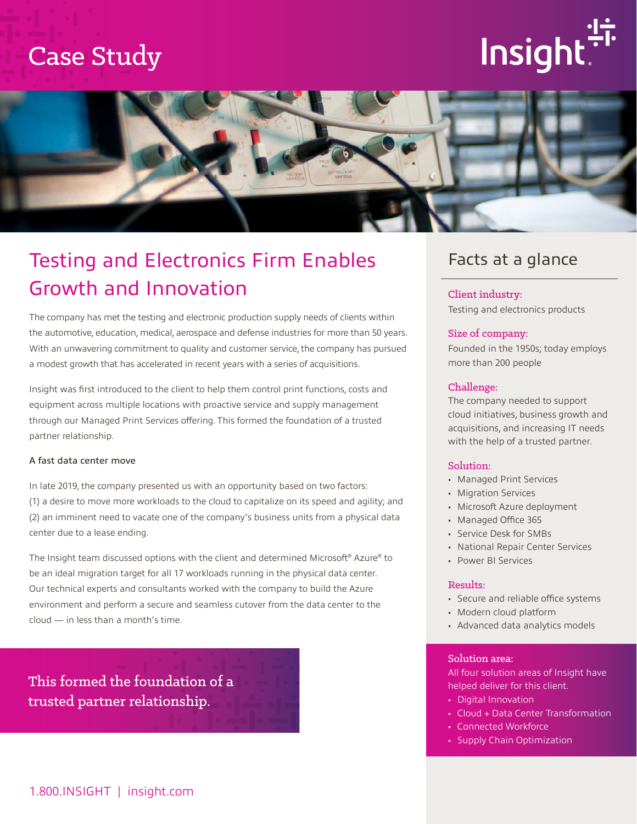## Case Study

# Insight



## Testing and Electronics Firm Enables Growth and Innovation

The company has met the testing and electronic production supply needs of clients within the automotive, education, medical, aerospace and defense industries for more than 50 years. With an unwavering commitment to quality and customer service, the company has pursued a modest growth that has accelerated in recent years with a series of acquisitions.

Insight was first introduced to the client to help them control print functions, costs and equipment across multiple locations with proactive service and supply management through our Managed Print Services offering. This formed the foundation of a trusted partner relationship.

#### A fast data center move

In late 2019, the company presented us with an opportunity based on two factors: (1) a desire to move more workloads to the cloud to capitalize on its speed and agility; and (2) an imminent need to vacate one of the company's business units from a physical data center due to a lease ending.

The Insight team discussed options with the client and determined Microsoft® Azure® to be an ideal migration target for all 17 workloads running in the physical data center. Our technical experts and consultants worked with the company to build the Azure environment and perform a secure and seamless cutover from the data center to the cloud — in less than a month's time.

This formed the foundation of a trusted partner relationship.

### Facts at a glance

#### Client industry: Testing and electronics products

#### Size of company:

Founded in the 1950s; today employs more than 200 people

#### Challenge:

The company needed to support cloud initiatives, business growth and acquisitions, and increasing IT needs with the help of a trusted partner.

#### Solution:

- Managed Print Services
- Migration Services
- Microsoft Azure deployment
- Managed Office 365
- Service Desk for SMBs
- National Repair Center Services
- Power BI Services

#### Results:

- Secure and reliable office systems
- Modern cloud platform
- Advanced data analytics models

#### Solution area:

All four solution areas of Insight have helped deliver for this client.

- Digital Innovation
- Cloud + Data Center Transformation
- Connected Workforce
- Supply Chain Optimization